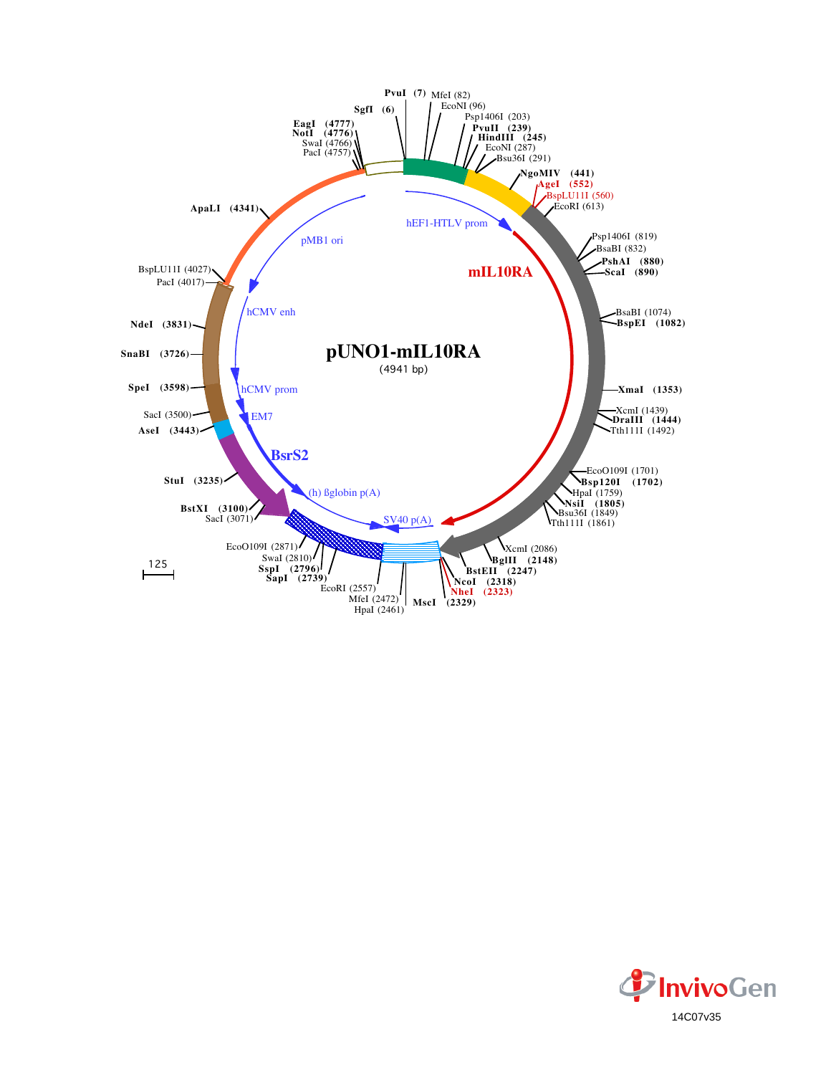

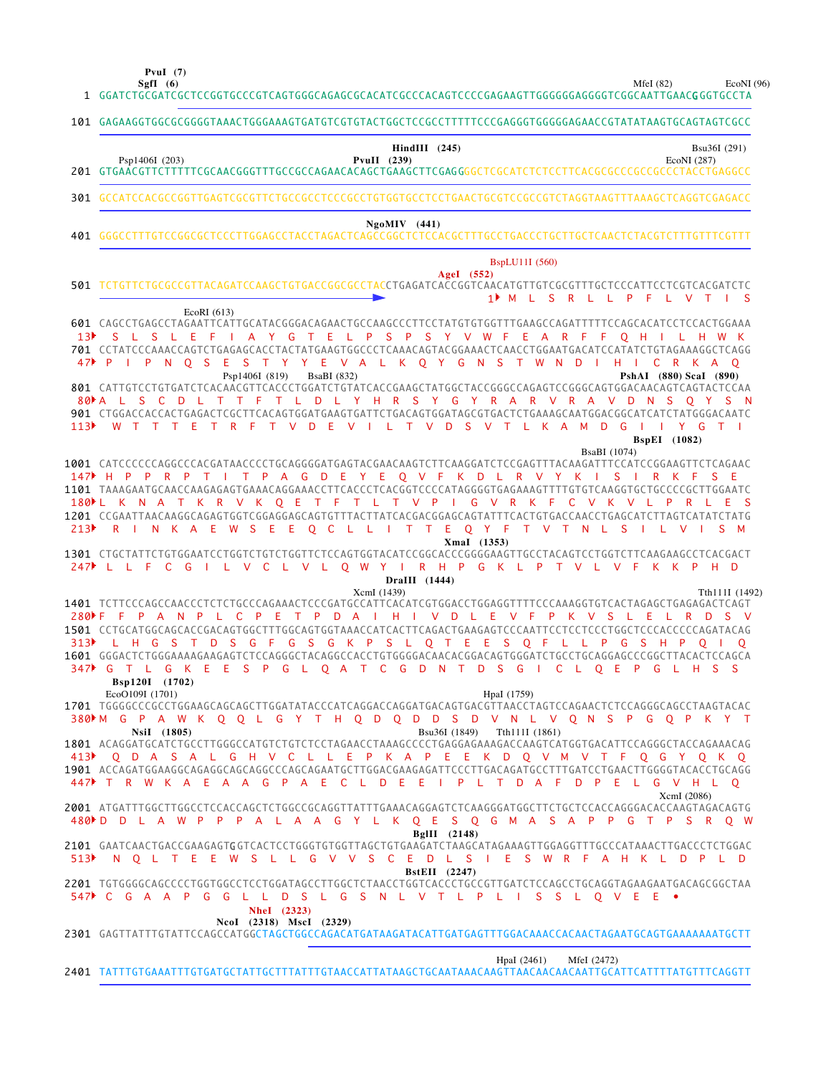**PvuI (7)**

MfeI (82) EcoNI (96)

|                         | EcoNI (96<br>Sgfl (6)<br>MfeI $(82)$                                                                                                                                                                                                                                                                                                                                                                                                                                                                                                                                                                                                                                                                             |
|-------------------------|------------------------------------------------------------------------------------------------------------------------------------------------------------------------------------------------------------------------------------------------------------------------------------------------------------------------------------------------------------------------------------------------------------------------------------------------------------------------------------------------------------------------------------------------------------------------------------------------------------------------------------------------------------------------------------------------------------------|
|                         | 101 GAGAAGGTGGCGCGGGGTAAACTGGGAAAGTGATGTCGTGTACTGGCTCCGCCTTTTTCCCGAGGGTGGGGAGAACCGTATATAAGTGCAGTAGTCGCC                                                                                                                                                                                                                                                                                                                                                                                                                                                                                                                                                                                                          |
|                         | $HindIII$ (245)<br>Bsu36I (291)<br>Psp1406I (203)<br>PvuII $(239)$<br>EcoNI(287)                                                                                                                                                                                                                                                                                                                                                                                                                                                                                                                                                                                                                                 |
|                         | 301 GCCATCCACGCCGGTTGAGTCGCGTTCTGCCGCCTCCCGCCTGTGGTGCCTCCTGAACTGCGTCCGCCGTCTAGGTAAGTTTAAAGCTCAGGTCGAGACC                                                                                                                                                                                                                                                                                                                                                                                                                                                                                                                                                                                                         |
|                         | $Ng o MIV$ (441)                                                                                                                                                                                                                                                                                                                                                                                                                                                                                                                                                                                                                                                                                                 |
|                         | BspLU11I (560)<br>AgeI (552)<br>501 TCTGTTCTGCGCCGTTACAGATCCAAGCTGTGACCGGCGCCTACCTGAGATCACCGGTCAACATGTTGTCGCGTTTGCTCCCATTCCTCGTCACGATCTC<br>1▶ M L S<br>R L L P F L<br>$V$ T I S                                                                                                                                                                                                                                                                                                                                                                                                                                                                                                                                 |
| 113 <sup>2</sup>        | EcoRI $(613)$<br>601 CAGCCTGAGCCTAGAATTCATTGCATACGGGACAGAACTGCCAAGCCCTTCCTATGTGTGTTTGAAGCCAGATTTTTCCAGCACATCCTCCACTGGAAA<br>S L S L E F I A Y G T E L P S P S Y V W F E A R F F Q H I L H W K<br>701 CCTATCCCAAACCAGTCTGAGAGCACCTACTATGAAGTGGCCCTCAAACAGTACGGAAACTCAACCTGGAATGACATCCATATCTGTAGAAAGGCTCAGG<br>47 PIPN Q S E S T Y Y E V A L K Q Y G N S T W N D I H I C R K A Q<br>Psp1406I (819)<br><b>BsaBI</b> (832)<br>PshAI (880) Scal (890)<br>80 A L S C D L T T F T L D L Y H R S Y G Y R A R V R A V D N S<br>OYSN<br>901 CTGGACCACCACTGAGACTCGCTTCACAGTGGATGAAGTGATTCTGACAGTGGATAGCGTGACTCTGAAAGCAATGGACGCATCATCTATGGGACAATC<br>VILTVDSVTLKAMDGIIYGTI<br>W T T T E T R F T V D E<br><b>BspEI</b> (1082) |
| 213                     | <b>BsaBI</b> (1074)<br>1001 CATCCCCCCAGGCCCACGATAACCCCTGCAGGGGATGAGTACGAACAAGTCTTCAAGGATCTCCGAGTTTACAAGATTTCCATCCGGAAGTTCTCAGAAC<br>147 H P P R P T I T P A G D E Y E Q V F K D L R V Y K I S I<br>R.<br>K F<br>SE.<br>1101 TAAAGAATGCAACCAAGAGAGTGAAACAGGAAACCTTCACCCTCACGGTCCCCATAGGGGTGAGAAAGTTTTGTGTCAAGGTGCTGCCCCGCTTGGAATC<br>180 L K N A T K R V K O E T F T L T V P I G V R K F<br>$\mathbf{C}$<br>V K V L P<br>R.<br>1201 CCGAATTAACAAGGCAGAGTGGTCGGAGGAGCAGTGTTTACTTATCACGACGGAGCAGTATTTCACTGTGACCAACCTGAGCATCTTAGTCATATCTATG<br>L I T T E O Y F T V T N L<br>N K A E<br>W S<br>- E<br>- E<br>$O$ $C$ $L$<br>-S<br>$\vee$<br>S M<br>R I<br>-1<br>XmaI (1353)                                           |
|                         | 1301 CTGCTATTCTGTGGAATCCTGGTCTGTCTGGTTCTCCAGTGGTACATCCGGCACCCGGGGAAGTTGCCTACAGTCCTGGTCTTCAAGAAGCCTCACGACT<br>247 L L F C G I L V C L V L O W Y I R H P G K L P T V L V F K K P H D<br>DraIII (1444)                                                                                                                                                                                                                                                                                                                                                                                                                                                                                                              |
| 313 <sup>2</sup><br>347 | XcmI (1439)<br>Tth111I (1492)<br>1401 TCTTCCCAGCCAACCCTCTCTGCCCAGAAACTCCCGATGCCATTCACATCGTGGACCTGGAGGTTTTCCCAAAGGTGTCACTAGAGCTGAGAGACTCAGT<br>C P E T P D A I H I V D L E V F P K V S L E L<br>$280 \text{ F}$ F<br>$\mathsf{P}$<br>AN P<br>$-L$<br>R.<br>D S V<br>1501 CCTGCATGGCAGCACCGACAGTGGCTTTGGCAGTGGTAAACCATCACTTCAGACTGAAGAGTCCCAATTCCTCCTCCCTGGCTCCCACCCCCAGATACAG<br>D S G F G S G K P S L Q T E E S Q F L L P G S H<br>G<br>-S<br>H.<br>$\top$<br>$0-1$<br>T L G K E E S P G L O A T C G D N T D S G I C L O E<br>PGLHSS<br>G                                                                                                                                                                        |
|                         | Bsp120I (1702)<br>EcoO109I (1701)<br>HpaI (1759)<br>1701 TGGGGCCCGCCTGGAAGCAGCAGCTTGGATATACCCATCAGGACCAGGATGACAGTGACGTTAACCTAGTCCAGAACTCTCCAGGGCAGCCTAAGTACAC<br>380MM G P A W K Q Q L G Y T H Q D Q D D S D V N L V Q N S P G Q P K Y T<br>NsiI (1805)<br>Bsu36I (1849)<br>Tth111I (1861)<br>1801 ACAGGATGCATCTGCCTTGGGCCATGTCTGTCTCCTAGAACCTAAAGCCCCTGAGGAGAAAGACCAAGTCATGGTGACATTCCAGGGCTACCAGAAACAG<br>413▶ O D A S A L G H V C L L E P K A P E E K D O V M V T F O G Y O K O<br>1901 ACCAGATGGAAGGCAGAGGCAGCAGGCCCAGCAGAATGCTTGGACGAAGAGATTCCCTTGACAGATGCCTTTGATCCTGAACTTGGGGTACACCTGCAGG<br>447▶ T R W K A E A A G P A E C L D E E I P L T D A F<br>D P E L G V H L O                                      |
|                         | XcmI (2086)<br>2001 ATGATTTGGCTTGGCCTCCACCAGCTCTGGCCGCAGGTTATTTGAAACAGGAGTCTCAAGGGATGGCTTCTGCTCCACCAGGGACACCAAGTAGACAGTG<br>480 D D L A W P P P A L A A G Y L K Q E S Q G M A S A P P G T P S R Q W                                                                                                                                                                                                                                                                                                                                                                                                                                                                                                              |
|                         | BgIII $(2148)$<br>2101 GAATCAACTGACCGAAGAGTGGTCACTCCTGGGTGTGGTTAGCTGTGAAGATCTAAGCATAGAAAGTTGGAGGTTTGCCCATAAACTTGACCCTCTGGAC<br>513▶ NOLTEEW SLLGVVSCEDLSIESWRFAHKLDPLD                                                                                                                                                                                                                                                                                                                                                                                                                                                                                                                                           |
|                         | <b>BstEII</b> (2247)<br>2201 TGTGGGGCAGCCCCTGGTGGCCTCCTGGATAGCCTTGGCTCTAACCTGGTCACCCTGCCGTTGATCTCCAGCCTGCAGGTAGAAGAATGACAGCGGCTAA<br>547 C G A A P G G L L<br>D S L G S N L V T L P L I S S L O V E E .<br>NheI (2323)<br>NcoI (2318) MscI (2329)                                                                                                                                                                                                                                                                                                                                                                                                                                                                |
|                         | 2301 GAGTTATTTGTATTCCAGCCATGGCTAGCTGGCCAGACATGATAAGATACATTGATGAGTTTGGACAAACCACAACTAGAATGCAGTGAAAAAAATGCTT                                                                                                                                                                                                                                                                                                                                                                                                                                                                                                                                                                                                        |
|                         | HpaI (2461)<br>MfeI (2472)                                                                                                                                                                                                                                                                                                                                                                                                                                                                                                                                                                                                                                                                                       |